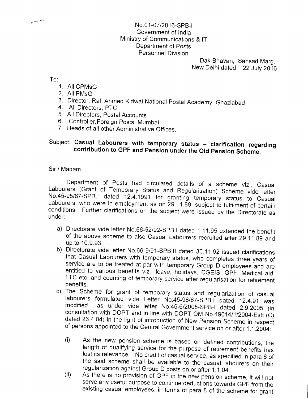## No.01-07/2016-SPB-l Government of India Ministry of Communications & lT Department of Posts Personnel Division

Dak Bhavan, Sansad Marg,. New Delhi dated 22 July 2016

To:

- 1. All CPMsG
- 2. All PMsG
- 3. Director, Rafi Ahmed Kidwai National postal Academy, Ghaziabad 4. All Directors, PTC
- 
- 5. All Directors, Postal Accounts. 6. Controller,Foreign Posts, Mumbai
- 
- 7. Heads of all other Administrative Offices.

## Subject: Casual Labourers with temporary status - clarification regarding contribution to GPF and Pension under the Old Pension Scheme.

Sir / Madam,

Department of Posts had circulated details of a scheme viz., Casual<br>Labourers (Grant of Temporary Status and Regularisation) Scheme vide letter<br>No.45-95/87-SPB.I dated 12.4.1991 for granting temporary status to Casual<br>Labo

- a) Directorate vide letter No.66-52/92-SPB.I dated 1.11.95 extended the benefit of the above scheme to also Casual Labourers recruited after 29.11.89 and
- up to 10.9.93.<br>b) Directorate vide letter No.66-9/91-SPB.II dated 30.11.92 issued clarifications that Casual Labourers with temporary status, who completes three years of service are to be treated at par with temporary Group D employees and are entitled to various benefits viz.. leave, holidays, CGEIS, GPF, Medical ai
- benefits.<br>c) The Scheme for grant of temporary status and regularization of casual labourers formulated vide Letter No.45-98/87-SPB.I dated 12.4.91 was<br>modified as under vide letter No.45-6/2005-SPB-I dated 2.9.2005 (in<br>consultation with DOPT and in line with DOPT OM No.49014/1/2004-Estt (C)<br>dated 26.4.0
	- (i) As the new pension scheme is based on defined contributions, the length of qualifying service for the purpose of retirement benefits has lost its relevance. No credit of casual service, as specified in para 6 of the s
	- existing casual employees, in terms of para 8 of the scheme for grant